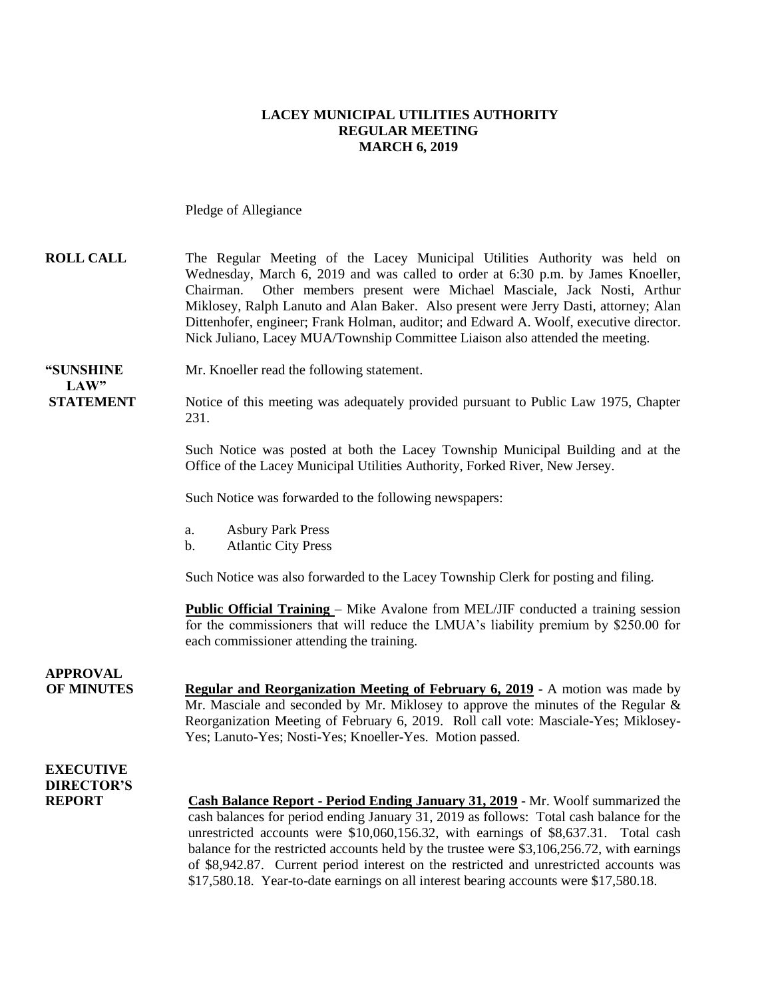#### **LACEY MUNICIPAL UTILITIES AUTHORITY REGULAR MEETING MARCH 6, 2019**

Pledge of Allegiance

| <b>ROLL CALL</b>         | The Regular Meeting of the Lacey Municipal Utilities Authority was held on             |
|--------------------------|----------------------------------------------------------------------------------------|
|                          | Wednesday, March 6, 2019 and was called to order at 6:30 p.m. by James Knoeller,       |
|                          | Chairman. Other members present were Michael Masciale, Jack Nosti, Arthur              |
|                          | Miklosey, Ralph Lanuto and Alan Baker. Also present were Jerry Dasti, attorney; Alan   |
|                          | Dittenhofer, engineer; Frank Holman, auditor; and Edward A. Woolf, executive director. |
|                          | Nick Juliano, Lacey MUA/Township Committee Liaison also attended the meeting.          |
|                          |                                                                                        |
| <i><b>COUNDITION</b></i> | $\mathbf{M}$ $\mathbf{V}$ 11 14 011 $\mathbf{V}$ 11                                    |

**"SUNSHINE** Mr. Knoeller read the following statement. **LAW"**

**STATEMENT** Notice of this meeting was adequately provided pursuant to Public Law 1975, Chapter 231.

> Such Notice was posted at both the Lacey Township Municipal Building and at the Office of the Lacey Municipal Utilities Authority, Forked River, New Jersey.

Such Notice was forwarded to the following newspapers:

- a. Asbury Park Press
- b. Atlantic City Press

Such Notice was also forwarded to the Lacey Township Clerk for posting and filing.

**Public Official Training** – Mike Avalone from MEL/JIF conducted a training session for the commissioners that will reduce the LMUA's liability premium by \$250.00 for each commissioner attending the training.

**OF MINUTES Regular and Reorganization Meeting of February 6, 2019** - A motion was made by Mr. Masciale and seconded by Mr. Miklosey to approve the minutes of the Regular  $\&$ Reorganization Meeting of February 6, 2019. Roll call vote: Masciale-Yes; Miklosey-Yes; Lanuto-Yes; Nosti-Yes; Knoeller-Yes. Motion passed.

#### **EXECUTIVE DIRECTOR'S**

**APPROVAL**

**REPORT Cash Balance Report - Period Ending January 31, 2019** - Mr. Woolf summarized the cash balances for period ending January 31, 2019 as follows: Total cash balance for the unrestricted accounts were \$10,060,156.32, with earnings of \$8,637.31. Total cash balance for the restricted accounts held by the trustee were \$3,106,256.72, with earnings of \$8,942.87. Current period interest on the restricted and unrestricted accounts was \$17,580.18. Year-to-date earnings on all interest bearing accounts were \$17,580.18.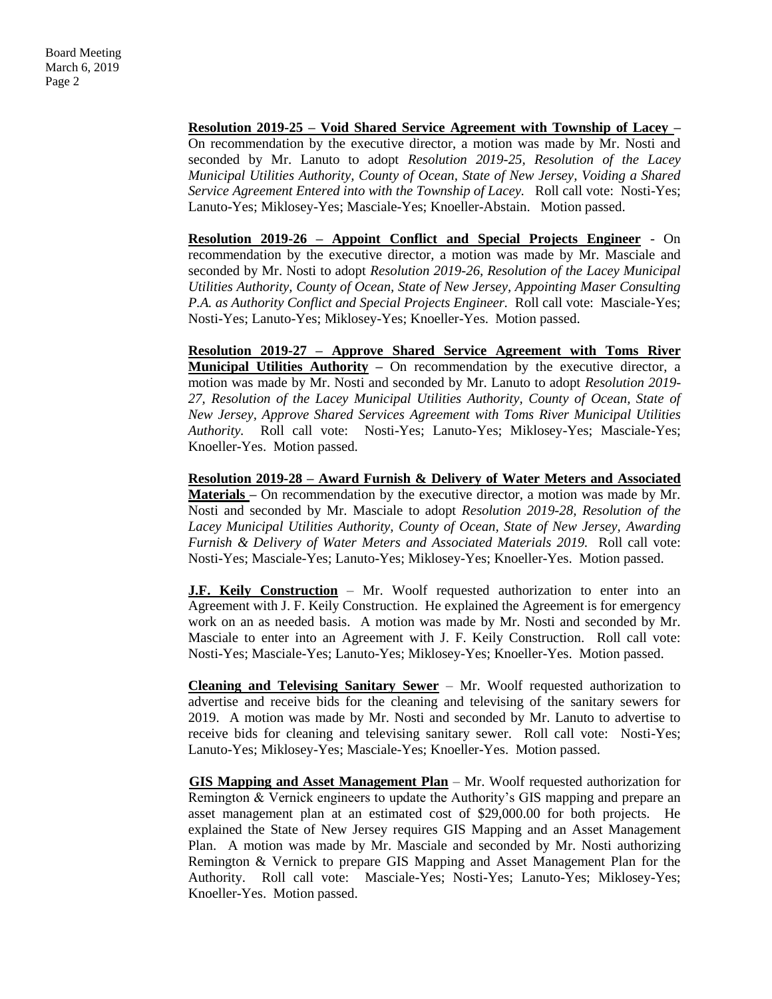**Resolution 2019-25 – Void Shared Service Agreement with Township of Lacey –** On recommendation by the executive director, a motion was made by Mr. Nosti and seconded by Mr. Lanuto to adopt *Resolution 2019-25, Resolution of the Lacey Municipal Utilities Authority, County of Ocean, State of New Jersey, Voiding a Shared Service Agreement Entered into with the Township of Lacey.* Roll call vote: Nosti-Yes; Lanuto-Yes; Miklosey-Yes; Masciale-Yes; Knoeller-Abstain. Motion passed.

**Resolution 2019-26 – Appoint Conflict and Special Projects Engineer** - On recommendation by the executive director, a motion was made by Mr. Masciale and seconded by Mr. Nosti to adopt *Resolution 2019-26, Resolution of the Lacey Municipal Utilities Authority, County of Ocean, State of New Jersey, Appointing Maser Consulting P.A. as Authority Conflict and Special Projects Engineer.* Roll call vote: Masciale-Yes; Nosti-Yes; Lanuto-Yes; Miklosey-Yes; Knoeller-Yes. Motion passed.

**Resolution 2019-27 – Approve Shared Service Agreement with Toms River Municipal Utilities Authority** – On recommendation by the executive director, a motion was made by Mr. Nosti and seconded by Mr. Lanuto to adopt *Resolution 2019- 27, Resolution of the Lacey Municipal Utilities Authority, County of Ocean, State of New Jersey, Approve Shared Services Agreement with Toms River Municipal Utilities Authority.* Roll call vote: Nosti-Yes; Lanuto-Yes; Miklosey-Yes; Masciale-Yes; Knoeller-Yes. Motion passed.

**Resolution 2019-28 – Award Furnish & Delivery of Water Meters and Associated Materials –** On recommendation by the executive director, a motion was made by Mr. Nosti and seconded by Mr. Masciale to adopt *Resolution 2019-28, Resolution of the Lacey Municipal Utilities Authority, County of Ocean, State of New Jersey, Awarding Furnish & Delivery of Water Meters and Associated Materials 2019.* Roll call vote: Nosti-Yes; Masciale-Yes; Lanuto-Yes; Miklosey-Yes; Knoeller-Yes. Motion passed.

**J.F. Keily Construction** – Mr. Woolf requested authorization to enter into an Agreement with J. F. Keily Construction. He explained the Agreement is for emergency work on an as needed basis. A motion was made by Mr. Nosti and seconded by Mr. Masciale to enter into an Agreement with J. F. Keily Construction. Roll call vote: Nosti-Yes; Masciale-Yes; Lanuto-Yes; Miklosey-Yes; Knoeller-Yes. Motion passed.

**Cleaning and Televising Sanitary Sewer** – Mr. Woolf requested authorization to advertise and receive bids for the cleaning and televising of the sanitary sewers for 2019. A motion was made by Mr. Nosti and seconded by Mr. Lanuto to advertise to receive bids for cleaning and televising sanitary sewer. Roll call vote: Nosti-Yes; Lanuto-Yes; Miklosey-Yes; Masciale-Yes; Knoeller-Yes. Motion passed.

**GIS Mapping and Asset Management Plan** – Mr. Woolf requested authorization for Remington & Vernick engineers to update the Authority's GIS mapping and prepare an asset management plan at an estimated cost of \$29,000.00 for both projects. He explained the State of New Jersey requires GIS Mapping and an Asset Management Plan. A motion was made by Mr. Masciale and seconded by Mr. Nosti authorizing Remington & Vernick to prepare GIS Mapping and Asset Management Plan for the Authority. Roll call vote: Masciale-Yes; Nosti-Yes; Lanuto-Yes; Miklosey-Yes; Knoeller-Yes. Motion passed.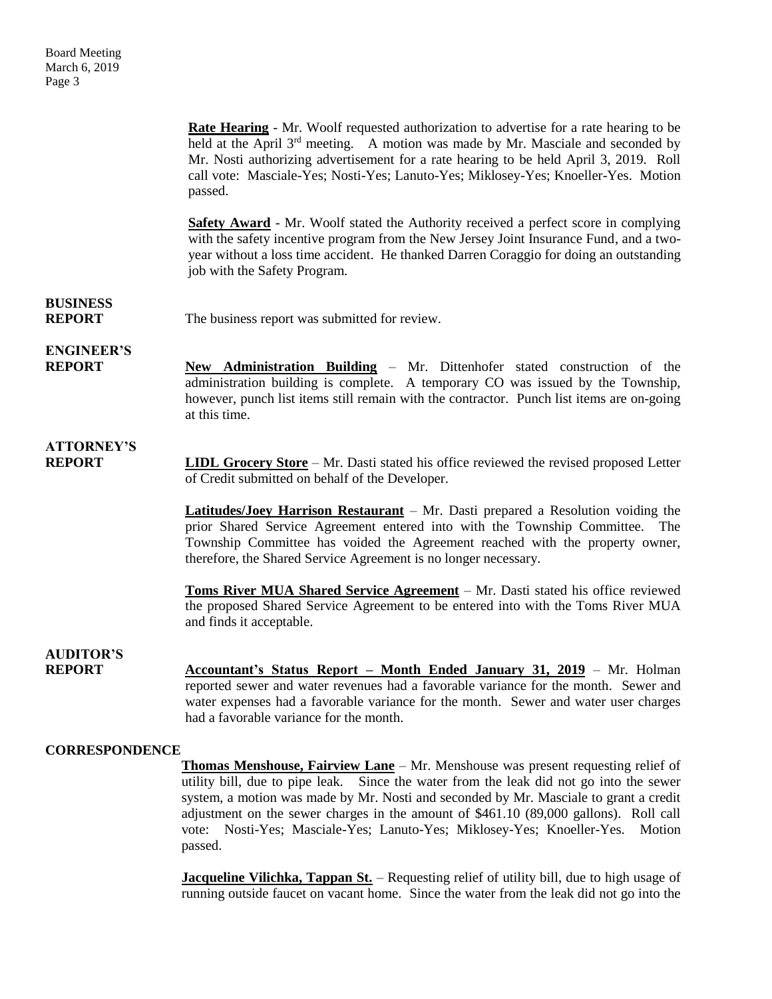**Rate Hearing** - Mr. Woolf requested authorization to advertise for a rate hearing to be held at the April  $3<sup>rd</sup>$  meeting. A motion was made by Mr. Masciale and seconded by Mr. Nosti authorizing advertisement for a rate hearing to be held April 3, 2019. Roll call vote: Masciale-Yes; Nosti-Yes; Lanuto-Yes; Miklosey-Yes; Knoeller-Yes. Motion passed. **Safety Award** - Mr. Woolf stated the Authority received a perfect score in complying with the safety incentive program from the New Jersey Joint Insurance Fund, and a twoyear without a loss time accident. He thanked Darren Coraggio for doing an outstanding job with the Safety Program. **BUSINESS REPORT** The business report was submitted for review. **ENGINEER'S REPORT New Administration Building** – Mr. Dittenhofer stated construction of the administration building is complete. A temporary CO was issued by the Township, however, punch list items still remain with the contractor. Punch list items are on-going at this time. **ATTORNEY'S REPORT LIDL Grocery Store** – Mr. Dasti stated his office reviewed the revised proposed Letter of Credit submitted on behalf of the Developer. **Latitudes/Joey Harrison Restaurant** – Mr. Dasti prepared a Resolution voiding the prior Shared Service Agreement entered into with the Township Committee. The Township Committee has voided the Agreement reached with the property owner, therefore, the Shared Service Agreement is no longer necessary. **Toms River MUA Shared Service Agreement** – Mr. Dasti stated his office reviewed the proposed Shared Service Agreement to be entered into with the Toms River MUA and finds it acceptable. **AUDITOR'S REPORT** Accountant's Status Report – Month Ended January 31, 2019 – Mr. Holman reported sewer and water revenues had a favorable variance for the month. Sewer and water expenses had a favorable variance for the month. Sewer and water user charges had a favorable variance for the month. **CORRESPONDENCE Thomas Menshouse, Fairview Lane** – Mr. Menshouse was present requesting relief of utility bill, due to pipe leak. Since the water from the leak did not go into the sewer system, a motion was made by Mr. Nosti and seconded by Mr. Masciale to grant a credit adjustment on the sewer charges in the amount of \$461.10 (89,000 gallons). Roll call

> **Jacqueline Vilichka, Tappan St.** – Requesting relief of utility bill, due to high usage of running outside faucet on vacant home. Since the water from the leak did not go into the

> vote: Nosti-Yes; Masciale-Yes; Lanuto-Yes; Miklosey-Yes; Knoeller-Yes. Motion

passed.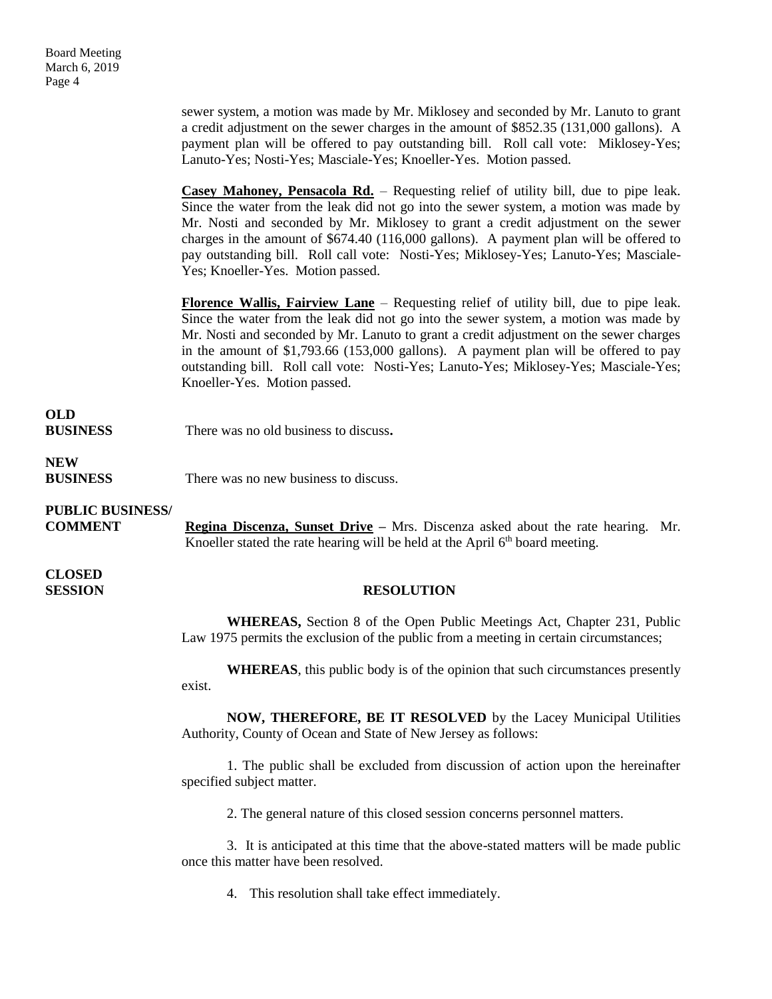sewer system, a motion was made by Mr. Miklosey and seconded by Mr. Lanuto to grant a credit adjustment on the sewer charges in the amount of \$852.35 (131,000 gallons). A payment plan will be offered to pay outstanding bill. Roll call vote: Miklosey-Yes; Lanuto-Yes; Nosti-Yes; Masciale-Yes; Knoeller-Yes. Motion passed.

**Casey Mahoney, Pensacola Rd.** – Requesting relief of utility bill, due to pipe leak. Since the water from the leak did not go into the sewer system, a motion was made by Mr. Nosti and seconded by Mr. Miklosey to grant a credit adjustment on the sewer charges in the amount of \$674.40 (116,000 gallons). A payment plan will be offered to pay outstanding bill. Roll call vote: Nosti-Yes; Miklosey-Yes; Lanuto-Yes; Masciale-Yes; Knoeller-Yes. Motion passed.

**Florence Wallis, Fairview Lane** – Requesting relief of utility bill, due to pipe leak. Since the water from the leak did not go into the sewer system, a motion was made by Mr. Nosti and seconded by Mr. Lanuto to grant a credit adjustment on the sewer charges in the amount of \$1,793.66 (153,000 gallons). A payment plan will be offered to pay outstanding bill. Roll call vote: Nosti-Yes; Lanuto-Yes; Miklosey-Yes; Masciale-Yes; Knoeller-Yes. Motion passed.

#### **OLD**

**BUSINESS** There was no old business to discuss**.**

### **NEW**

**BUSINESS** There was no new business to discuss.

### **PUBLIC BUSINESS/**

**COMMENT Regina Discenza, Sunset Drive –** Mrs. Discenza asked about the rate hearing. Mr. Knoeller stated the rate hearing will be held at the April  $6<sup>th</sup>$  board meeting.

# **CLOSED**

#### **SESSION RESOLUTION**

**WHEREAS,** Section 8 of the Open Public Meetings Act, Chapter 231, Public Law 1975 permits the exclusion of the public from a meeting in certain circumstances;

**WHEREAS**, this public body is of the opinion that such circumstances presently exist.

**NOW, THEREFORE, BE IT RESOLVED** by the Lacey Municipal Utilities Authority, County of Ocean and State of New Jersey as follows:

1. The public shall be excluded from discussion of action upon the hereinafter specified subject matter.

2. The general nature of this closed session concerns personnel matters.

3. It is anticipated at this time that the above-stated matters will be made public once this matter have been resolved.

4. This resolution shall take effect immediately.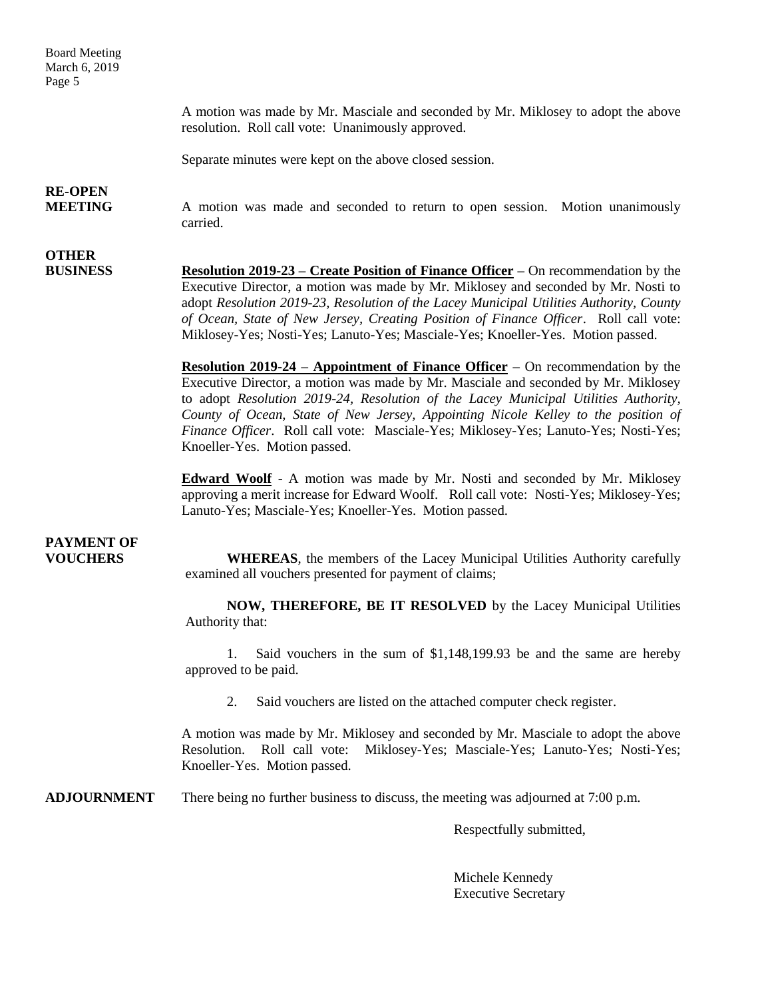Board Meeting March 6, 2019 Page 5

> A motion was made by Mr. Masciale and seconded by Mr. Miklosey to adopt the above resolution. Roll call vote: Unanimously approved.

Separate minutes were kept on the above closed session.

## **RE-OPEN**

**OTHER**

**MEETING** A motion was made and seconded to return to open session. Motion unanimously carried.

**BUSINESS Resolution 2019-23 – Create Position of Finance Officer –** On recommendation by the Executive Director, a motion was made by Mr. Miklosey and seconded by Mr. Nosti to adopt *Resolution 2019-23, Resolution of the Lacey Municipal Utilities Authority, County of Ocean, State of New Jersey, Creating Position of Finance Officer*. Roll call vote: Miklosey-Yes; Nosti-Yes; Lanuto-Yes; Masciale-Yes; Knoeller-Yes. Motion passed.

> **Resolution 2019-24 – Appointment of Finance Officer –** On recommendation by the Executive Director, a motion was made by Mr. Masciale and seconded by Mr. Miklosey to adopt *Resolution 2019-24, Resolution of the Lacey Municipal Utilities Authority, County of Ocean, State of New Jersey, Appointing Nicole Kelley to the position of Finance Officer*. Roll call vote: Masciale-Yes; Miklosey-Yes; Lanuto-Yes; Nosti-Yes; Knoeller-Yes. Motion passed.

> **Edward Woolf** - A motion was made by Mr. Nosti and seconded by Mr. Miklosey approving a merit increase for Edward Woolf. Roll call vote: Nosti-Yes; Miklosey-Yes; Lanuto-Yes; Masciale-Yes; Knoeller-Yes. Motion passed.

## **PAYMENT OF**

**VOUCHERS WHEREAS**, the members of the Lacey Municipal Utilities Authority carefully examined all vouchers presented for payment of claims;

> **NOW, THEREFORE, BE IT RESOLVED** by the Lacey Municipal Utilities Authority that:

> 1. Said vouchers in the sum of \$1,148,199.93 be and the same are hereby approved to be paid.

2. Said vouchers are listed on the attached computer check register.

A motion was made by Mr. Miklosey and seconded by Mr. Masciale to adopt the above Resolution. Roll call vote: Miklosey-Yes; Masciale-Yes; Lanuto-Yes; Nosti-Yes; Knoeller-Yes. Motion passed.

**ADJOURNMENT** There being no further business to discuss, the meeting was adjourned at 7:00 p.m.

Respectfully submitted,

Michele Kennedy Executive Secretary